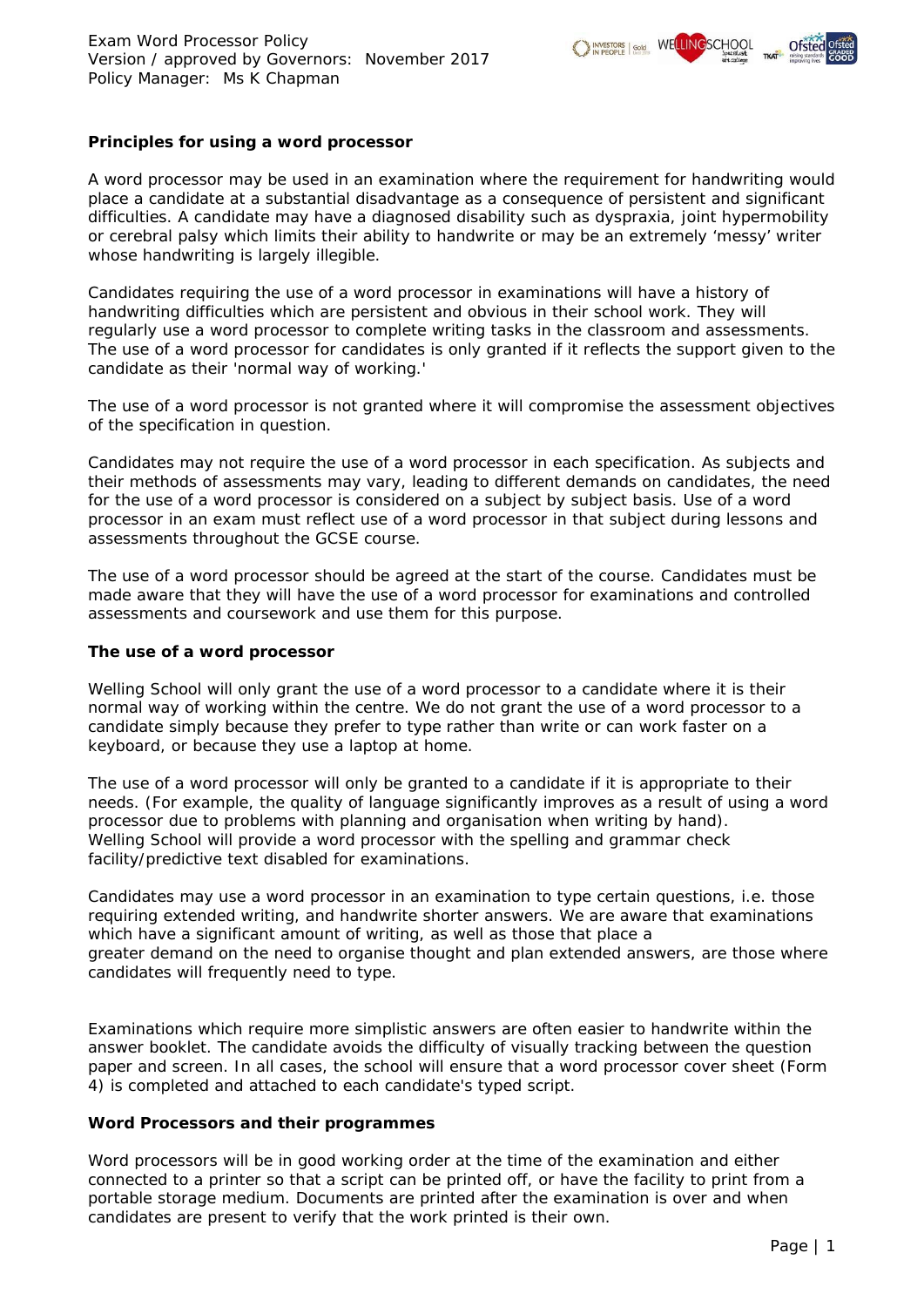

# **Principles for using a word processor**

A word processor may be used in an examination where the requirement for handwriting would place a candidate at a substantial disadvantage as a consequence of persistent and significant difficulties. A candidate may have a diagnosed disability such as dyspraxia, joint hypermobility or cerebral palsy which limits their ability to handwrite or may be an extremely 'messy' writer whose handwriting is largely illegible.

Candidates requiring the use of a word processor in examinations will have a history of handwriting difficulties which are persistent and obvious in their school work. They will regularly use a word processor to complete writing tasks in the classroom and assessments. The use of a word processor for candidates is only granted if it reflects the support given to the candidate as their 'normal way of working.'

The use of a word processor is not granted where it will compromise the assessment objectives of the specification in question.

Candidates may not require the use of a word processor in each specification. As subjects and their methods of assessments may vary, leading to different demands on candidates, the need for the use of a word processor is considered on a subject by subject basis. Use of a word processor in an exam must reflect use of a word processor in that subject during lessons and assessments throughout the GCSE course.

The use of a word processor should be agreed at the start of the course. Candidates must be made aware that they will have the use of a word processor for examinations and controlled assessments and coursework and use them for this purpose.

## **The use of a word processor**

Welling School will only grant the use of a word processor to a candidate where it is their normal way of working within the centre. We do not grant the use of a word processor to a candidate simply because they prefer to type rather than write or can work faster on a keyboard, or because they use a laptop at home.

The use of a word processor will only be granted to a candidate if it is appropriate to their needs. (For example, the quality of language significantly improves as a result of using a word processor due to problems with planning and organisation when writing by hand). Welling School will provide a word processor with the spelling and grammar check facility/predictive text disabled for examinations.

Candidates may use a word processor in an examination to type certain questions, i.e. those requiring extended writing, and handwrite shorter answers. We are aware that examinations which have a significant amount of writing, as well as those that place a greater demand on the need to organise thought and plan extended answers, are those where candidates will frequently need to type.

Examinations which require more simplistic answers are often easier to handwrite within the answer booklet. The candidate avoids the difficulty of visually tracking between the question paper and screen. In all cases, the school will ensure that a word processor cover sheet (Form 4) is completed and attached to each candidate's typed script.

## **Word Processors and their programmes**

Word processors will be in good working order at the time of the examination and either connected to a printer so that a script can be printed off, or have the facility to print from a portable storage medium. Documents are printed after the examination is over and when candidates are present to verify that the work printed is their own.